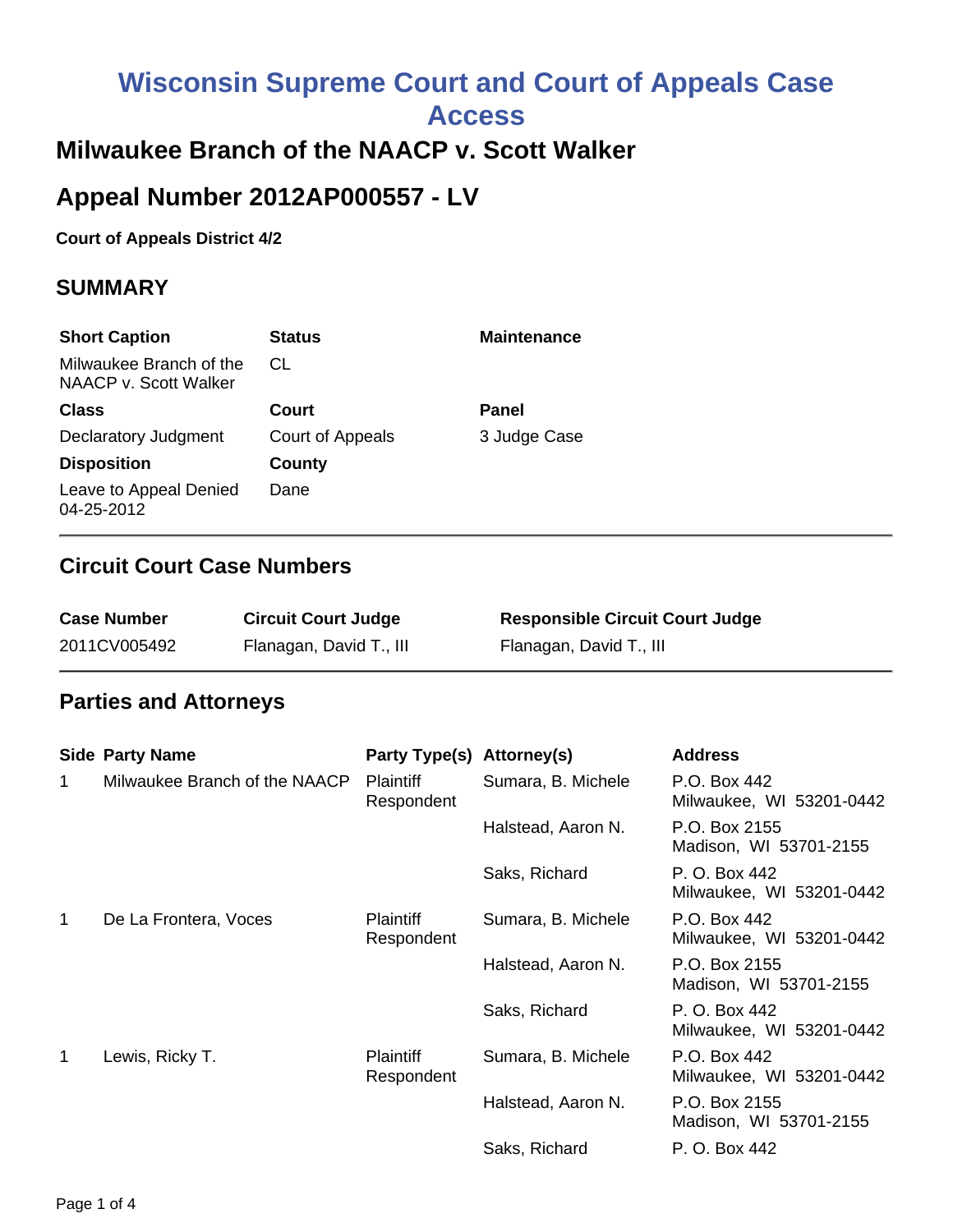# **Wisconsin Supreme Court and Court of Appeals Case Access**

### **Milwaukee Branch of the NAACP v. Scott Walker**

## **Appeal Number 2012AP000557 - LV**

#### **Court of Appeals District 4/2**

#### **SUMMARY**

| <b>Short Caption</b>                             | <b>Status</b>    | <b>Maintenance</b> |
|--------------------------------------------------|------------------|--------------------|
| Milwaukee Branch of the<br>NAACP v. Scott Walker | CL               |                    |
| <b>Class</b>                                     | Court            | Panel              |
| <b>Declaratory Judgment</b>                      | Court of Appeals | 3 Judge Case       |
| <b>Disposition</b>                               | County           |                    |
| Leave to Appeal Denied<br>04-25-2012             | Dane             |                    |

#### **Circuit Court Case Numbers**

| <b>Case Number</b> | <b>Circuit Court Judge</b> | <b>Responsible Circuit Court Judge</b> |
|--------------------|----------------------------|----------------------------------------|
| 2011CV005492       | Flanagan, David T., III    | Flanagan, David T., III                |

#### **Parties and Attorneys**

|   | <b>Side Party Name</b>        | Party Type(s) Attorney(s)      |                    | <b>Address</b>                            |
|---|-------------------------------|--------------------------------|--------------------|-------------------------------------------|
| 1 | Milwaukee Branch of the NAACP | <b>Plaintiff</b><br>Respondent | Sumara, B. Michele | P.O. Box 442<br>Milwaukee, WI 53201-0442  |
|   |                               |                                | Halstead, Aaron N. | P.O. Box 2155<br>Madison, WI 53701-2155   |
|   |                               |                                | Saks, Richard      | P. O. Box 442<br>Milwaukee, WI 53201-0442 |
| 1 | De La Frontera, Voces         | <b>Plaintiff</b><br>Respondent | Sumara, B. Michele | P.O. Box 442<br>Milwaukee, WI 53201-0442  |
|   |                               |                                | Halstead, Aaron N. | P.O. Box 2155<br>Madison, WI 53701-2155   |
|   |                               |                                | Saks, Richard      | P. O. Box 442<br>Milwaukee, WI 53201-0442 |
| 1 | Lewis, Ricky T.               | <b>Plaintiff</b><br>Respondent | Sumara, B. Michele | P.O. Box 442<br>Milwaukee, WI 53201-0442  |
|   |                               |                                | Halstead, Aaron N. | P.O. Box 2155<br>Madison, WI 53701-2155   |
|   |                               |                                | Saks, Richard      | P. O. Box 442                             |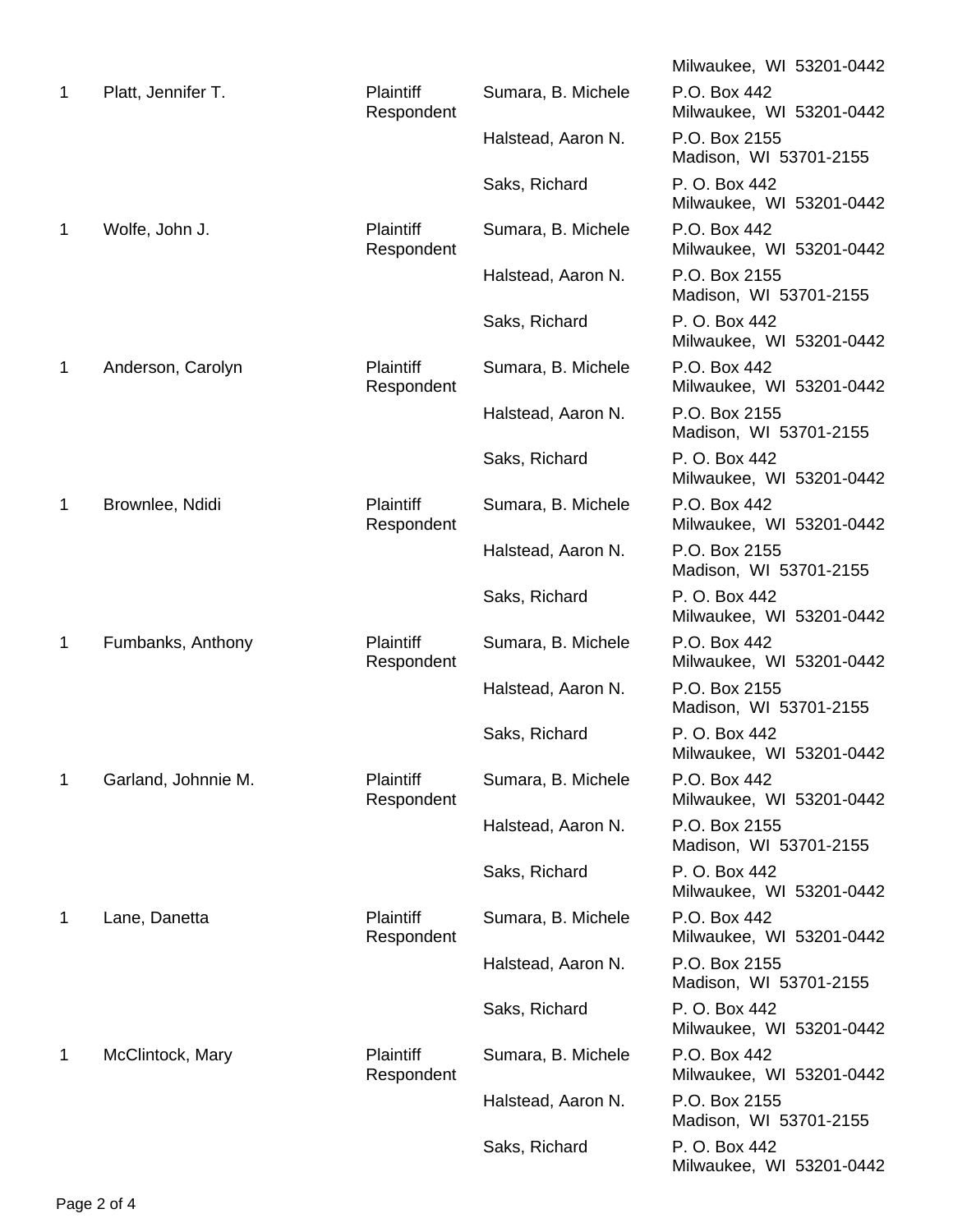|   |                     |                                |                    | Milwaukee, WI 53201-0442                  |
|---|---------------------|--------------------------------|--------------------|-------------------------------------------|
| 1 | Platt, Jennifer T.  | <b>Plaintiff</b><br>Respondent | Sumara, B. Michele | P.O. Box 442<br>Milwaukee, WI 53201-0442  |
|   |                     |                                | Halstead, Aaron N. | P.O. Box 2155<br>Madison, WI 53701-2155   |
|   |                     |                                | Saks, Richard      | P. O. Box 442<br>Milwaukee, WI 53201-0442 |
| 1 | Wolfe, John J.      | <b>Plaintiff</b><br>Respondent | Sumara, B. Michele | P.O. Box 442<br>Milwaukee, WI 53201-0442  |
|   |                     |                                | Halstead, Aaron N. | P.O. Box 2155<br>Madison, WI 53701-2155   |
|   |                     |                                | Saks, Richard      | P. O. Box 442<br>Milwaukee, WI 53201-0442 |
| 1 | Anderson, Carolyn   | <b>Plaintiff</b><br>Respondent | Sumara, B. Michele | P.O. Box 442<br>Milwaukee, WI 53201-0442  |
|   |                     |                                | Halstead, Aaron N. | P.O. Box 2155<br>Madison, WI 53701-2155   |
|   |                     |                                | Saks, Richard      | P. O. Box 442<br>Milwaukee, WI 53201-0442 |
| 1 | Brownlee, Ndidi     | <b>Plaintiff</b><br>Respondent | Sumara, B. Michele | P.O. Box 442<br>Milwaukee, WI 53201-0442  |
|   |                     |                                | Halstead, Aaron N. | P.O. Box 2155<br>Madison, WI 53701-2155   |
|   |                     |                                | Saks, Richard      | P. O. Box 442<br>Milwaukee, WI 53201-0442 |
| 1 | Fumbanks, Anthony   | <b>Plaintiff</b><br>Respondent | Sumara, B. Michele | P.O. Box 442<br>Milwaukee, WI 53201-0442  |
|   |                     |                                | Halstead, Aaron N. | P.O. Box 2155<br>Madison, WI 53701-2155   |
|   |                     |                                | Saks, Richard      | P. O. Box 442<br>Milwaukee, WI 53201-0442 |
| 1 | Garland, Johnnie M. | <b>Plaintiff</b><br>Respondent | Sumara, B. Michele | P.O. Box 442<br>Milwaukee, WI 53201-0442  |
|   |                     |                                | Halstead, Aaron N. | P.O. Box 2155<br>Madison, WI 53701-2155   |
|   |                     |                                | Saks, Richard      | P. O. Box 442<br>Milwaukee, WI 53201-0442 |
| 1 | Lane, Danetta       | <b>Plaintiff</b><br>Respondent | Sumara, B. Michele | P.O. Box 442<br>Milwaukee, WI 53201-0442  |
|   |                     |                                | Halstead, Aaron N. | P.O. Box 2155<br>Madison, WI 53701-2155   |
|   |                     |                                | Saks, Richard      | P. O. Box 442<br>Milwaukee, WI 53201-0442 |
| 1 | McClintock, Mary    | <b>Plaintiff</b><br>Respondent | Sumara, B. Michele | P.O. Box 442<br>Milwaukee, WI 53201-0442  |
|   |                     |                                | Halstead, Aaron N. | P.O. Box 2155<br>Madison, WI 53701-2155   |
|   |                     |                                | Saks, Richard      | P. O. Box 442<br>Milwaukee, WI 53201-0442 |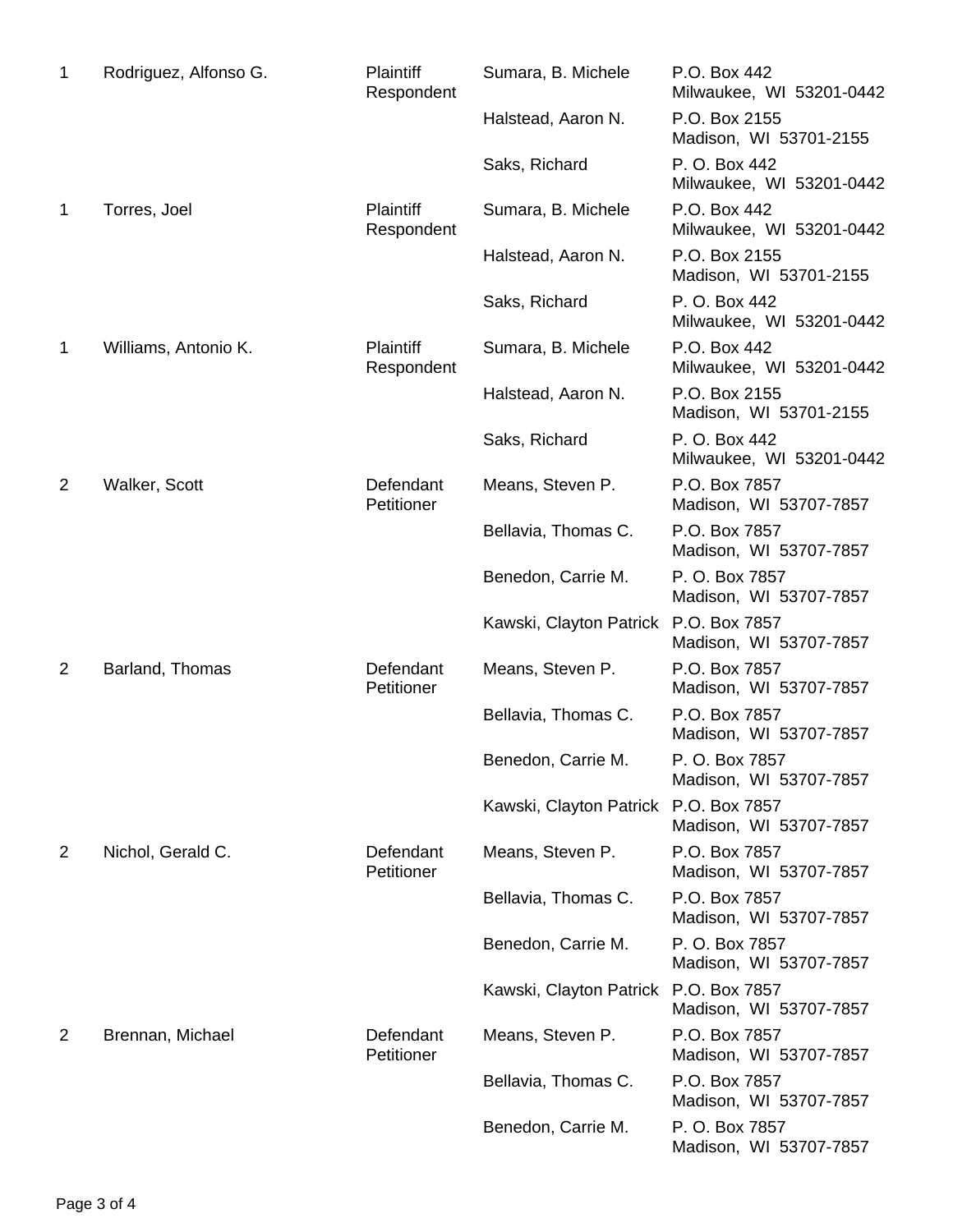| Rodriguez, Alfonso G. | <b>Plaintiff</b><br>Respondent | Sumara, B. Michele                    | P.O. Box 442<br>Milwaukee, WI 53201-0442  |
|-----------------------|--------------------------------|---------------------------------------|-------------------------------------------|
|                       |                                | Halstead, Aaron N.                    | P.O. Box 2155<br>Madison, WI 53701-2155   |
|                       |                                | Saks, Richard                         | P. O. Box 442<br>Milwaukee, WI 53201-0442 |
| Torres, Joel          | <b>Plaintiff</b><br>Respondent | Sumara, B. Michele                    | P.O. Box 442<br>Milwaukee, WI 53201-0442  |
|                       |                                | Halstead, Aaron N.                    | P.O. Box 2155<br>Madison, WI 53701-2155   |
|                       |                                | Saks, Richard                         | P. O. Box 442<br>Milwaukee, WI 53201-0442 |
| Williams, Antonio K.  | <b>Plaintiff</b><br>Respondent | Sumara, B. Michele                    | P.O. Box 442<br>Milwaukee, WI 53201-0442  |
|                       |                                | Halstead, Aaron N.                    | P.O. Box 2155<br>Madison, WI 53701-2155   |
|                       |                                | Saks, Richard                         | P. O. Box 442<br>Milwaukee, WI 53201-0442 |
| Walker, Scott         | Defendant<br>Petitioner        | Means, Steven P.                      | P.O. Box 7857<br>Madison, WI 53707-7857   |
|                       |                                | Bellavia, Thomas C.                   | P.O. Box 7857<br>Madison, WI 53707-7857   |
|                       |                                | Benedon, Carrie M.                    | P. O. Box 7857<br>Madison, WI 53707-7857  |
|                       |                                | Kawski, Clayton Patrick P.O. Box 7857 | Madison, WI 53707-7857                    |
| Barland, Thomas       | Defendant<br>Petitioner        | Means, Steven P.                      | P.O. Box 7857<br>Madison, WI 53707-7857   |
|                       |                                | Bellavia, Thomas C.                   | P.O. Box 7857<br>Madison, WI 53707-7857   |
|                       |                                | Benedon, Carrie M.                    | P. O. Box 7857<br>Madison, WI 53707-7857  |
|                       |                                | Kawski, Clayton Patrick P.O. Box 7857 | Madison, WI 53707-7857                    |
| Nichol, Gerald C.     | Defendant<br>Petitioner        | Means, Steven P.                      | P.O. Box 7857<br>Madison, WI 53707-7857   |
|                       |                                | Bellavia, Thomas C.                   | P.O. Box 7857<br>Madison, WI 53707-7857   |
|                       |                                | Benedon, Carrie M.                    | P. O. Box 7857<br>Madison, WI 53707-7857  |
|                       |                                | Kawski, Clayton Patrick P.O. Box 7857 | Madison, WI 53707-7857                    |
| Brennan, Michael      | Defendant<br>Petitioner        | Means, Steven P.                      | P.O. Box 7857<br>Madison, WI 53707-7857   |
|                       |                                | Bellavia, Thomas C.                   | P.O. Box 7857<br>Madison, WI 53707-7857   |
|                       |                                | Benedon, Carrie M.                    | P. O. Box 7857<br>Madison, WI 53707-7857  |
|                       |                                |                                       |                                           |